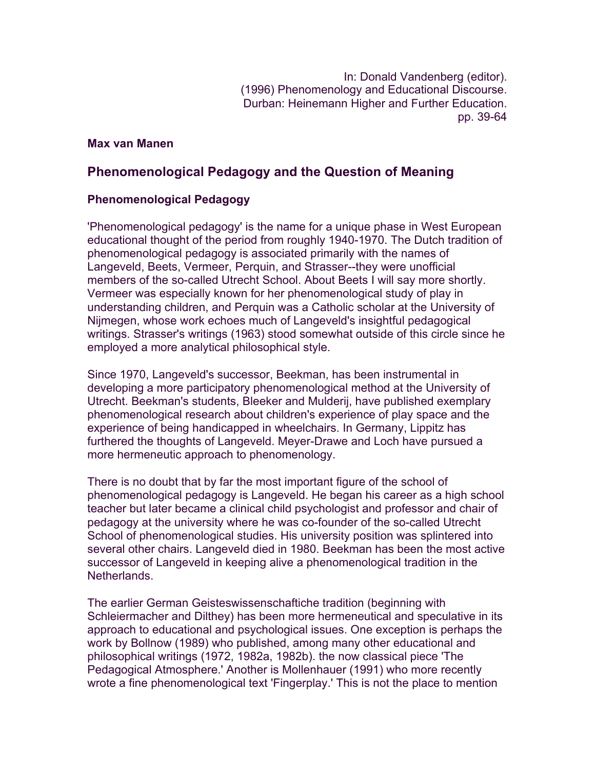In: Donald Vandenberg (editor). (1996) Phenomenology and Educational Discourse. Durban: Heinemann Higher and Further Education. pp. 39-64

## **Max van Manen**

# **Phenomenological Pedagogy and the Question of Meaning**

## **Phenomenological Pedagogy**

'Phenomenological pedagogy' is the name for a unique phase in West European educational thought of the period from roughly 1940-1970. The Dutch tradition of phenomenological pedagogy is associated primarily with the names of Langeveld, Beets, Vermeer, Perquin, and Strasser--they were unofficial members of the so-called Utrecht School. About Beets I will say more shortly. Vermeer was especially known for her phenomenological study of play in understanding children, and Perquin was a Catholic scholar at the University of Nijmegen, whose work echoes much of Langeveld's insightful pedagogical writings. Strasser's writings (1963) stood somewhat outside of this circle since he employed a more analytical philosophical style.

Since 1970, Langeveld's successor, Beekman, has been instrumental in developing a more participatory phenomenological method at the University of Utrecht. Beekman's students, Bleeker and Mulderij, have published exemplary phenomenological research about children's experience of play space and the experience of being handicapped in wheelchairs. In Germany, Lippitz has furthered the thoughts of Langeveld. Meyer-Drawe and Loch have pursued a more hermeneutic approach to phenomenology.

There is no doubt that by far the most important figure of the school of phenomenological pedagogy is Langeveld. He began his career as a high school teacher but later became a clinical child psychologist and professor and chair of pedagogy at the university where he was co-founder of the so-called Utrecht School of phenomenological studies. His university position was splintered into several other chairs. Langeveld died in 1980. Beekman has been the most active successor of Langeveld in keeping alive a phenomenological tradition in the **Netherlands** 

The earlier German Geisteswissenschaftiche tradition (beginning with Schleiermacher and Dilthey) has been more hermeneutical and speculative in its approach to educational and psychological issues. One exception is perhaps the work by Bollnow (1989) who published, among many other educational and philosophical writings (1972, 1982a, 1982b). the now classical piece 'The Pedagogical Atmosphere.' Another is Mollenhauer (1991) who more recently wrote a fine phenomenological text 'Fingerplay.' This is not the place to mention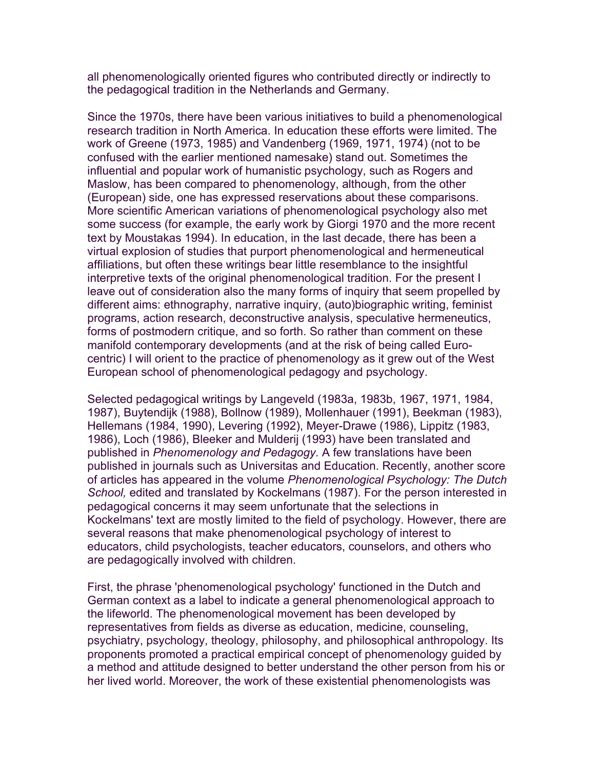all phenomenologically oriented figures who contributed directly or indirectly to the pedagogical tradition in the Netherlands and Germany.

Since the 1970s, there have been various initiatives to build a phenomenological research tradition in North America. In education these efforts were limited. The work of Greene (1973, 1985) and Vandenberg (1969, 1971, 1974) (not to be confused with the earlier mentioned namesake) stand out. Sometimes the influential and popular work of humanistic psychology, such as Rogers and Maslow, has been compared to phenomenology, although, from the other (European) side, one has expressed reservations about these comparisons. More scientific American variations of phenomenological psychology also met some success (for example, the early work by Giorgi 1970 and the more recent text by Moustakas 1994). In education, in the last decade, there has been a virtual explosion of studies that purport phenomenological and hermeneutical affiliations, but often these writings bear little resemblance to the insightful interpretive texts of the original phenomenological tradition. For the present I leave out of consideration also the many forms of inquiry that seem propelled by different aims: ethnography, narrative inquiry, (auto)biographic writing, feminist programs, action research, deconstructive analysis, speculative hermeneutics, forms of postmodern critique, and so forth. So rather than comment on these manifold contemporary developments (and at the risk of being called Eurocentric) I will orient to the practice of phenomenology as it grew out of the West European school of phenomenological pedagogy and psychology.

Selected pedagogical writings by Langeveld (1983a, 1983b, 1967, 1971, 1984, 1987), Buytendijk (1988), Bollnow (1989), Mollenhauer (1991), Beekman (1983), Hellemans (1984, 1990), Levering (1992), Meyer-Drawe (1986), Lippitz (1983, 1986), Loch (1986), Bleeker and Mulderij (1993) have been translated and published in *Phenomenology and Pedagogy.* A few translations have been published in journals such as Universitas and Education. Recently, another score of articles has appeared in the volume *Phenomenological Psychology: The Dutch School,* edited and translated by Kockelmans (1987). For the person interested in pedagogical concerns it may seem unfortunate that the selections in Kockelmans' text are mostly limited to the field of psychology. However, there are several reasons that make phenomenological psychology of interest to educators, child psychologists, teacher educators, counselors, and others who are pedagogically involved with children.

First, the phrase 'phenomenological psychology' functioned in the Dutch and German context as a label to indicate a general phenomenological approach to the lifeworld. The phenomenological movement has been developed by representatives from fields as diverse as education, medicine, counseling, psychiatry, psychology, theology, philosophy, and philosophical anthropology. Its proponents promoted a practical empirical concept of phenomenology guided by a method and attitude designed to better understand the other person from his or her lived world. Moreover, the work of these existential phenomenologists was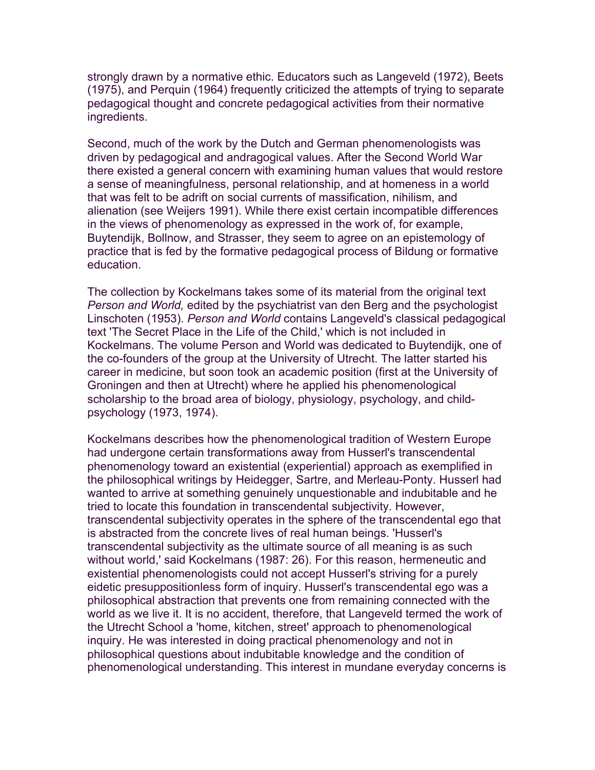strongly drawn by a normative ethic. Educators such as Langeveld (1972), Beets (1975), and Perquin (1964) frequently criticized the attempts of trying to separate pedagogical thought and concrete pedagogical activities from their normative ingredients.

Second, much of the work by the Dutch and German phenomenologists was driven by pedagogical and andragogical values. After the Second World War there existed a general concern with examining human values that would restore a sense of meaningfulness, personal relationship, and at homeness in a world that was felt to be adrift on social currents of massification, nihilism, and alienation (see Weijers 1991). While there exist certain incompatible differences in the views of phenomenology as expressed in the work of, for example, Buytendijk, Bollnow, and Strasser, they seem to agree on an epistemology of practice that is fed by the formative pedagogical process of Bildung or formative education.

The collection by Kockelmans takes some of its material from the original text *Person and World,* edited by the psychiatrist van den Berg and the psychologist Linschoten (1953). *Person and World* contains Langeveld's classical pedagogical text 'The Secret Place in the Life of the Child,' which is not included in Kockelmans. The volume Person and World was dedicated to Buytendijk, one of the co-founders of the group at the University of Utrecht. The latter started his career in medicine, but soon took an academic position (first at the University of Groningen and then at Utrecht) where he applied his phenomenological scholarship to the broad area of biology, physiology, psychology, and childpsychology (1973, 1974).

Kockelmans describes how the phenomenological tradition of Western Europe had undergone certain transformations away from Husserl's transcendental phenomenology toward an existential (experiential) approach as exemplified in the philosophical writings by Heidegger, Sartre, and Merleau-Ponty. Husserl had wanted to arrive at something genuinely unquestionable and indubitable and he tried to locate this foundation in transcendental subjectivity. However, transcendental subjectivity operates in the sphere of the transcendental ego that is abstracted from the concrete lives of real human beings. 'Husserl's transcendental subjectivity as the ultimate source of all meaning is as such without world,' said Kockelmans (1987: 26). For this reason, hermeneutic and existential phenomenologists could not accept Husserl's striving for a purely eidetic presuppositionless form of inquiry. Husserl's transcendental ego was a philosophical abstraction that prevents one from remaining connected with the world as we live it. It is no accident, therefore, that Langeveld termed the work of the Utrecht School a 'home, kitchen, street' approach to phenomenological inquiry. He was interested in doing practical phenomenology and not in philosophical questions about indubitable knowledge and the condition of phenomenological understanding. This interest in mundane everyday concerns is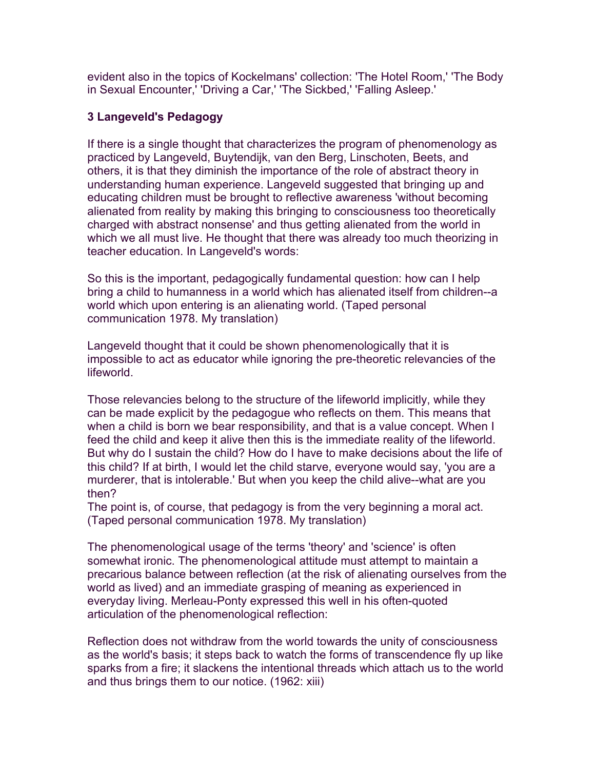evident also in the topics of Kockelmans' collection: 'The Hotel Room,' 'The Body in Sexual Encounter,' 'Driving a Car,' 'The Sickbed,' 'Falling Asleep.'

## **3 Langeveld's Pedagogy**

If there is a single thought that characterizes the program of phenomenology as practiced by Langeveld, Buytendijk, van den Berg, Linschoten, Beets, and others, it is that they diminish the importance of the role of abstract theory in understanding human experience. Langeveld suggested that bringing up and educating children must be brought to reflective awareness 'without becoming alienated from reality by making this bringing to consciousness too theoretically charged with abstract nonsense' and thus getting alienated from the world in which we all must live. He thought that there was already too much theorizing in teacher education. In Langeveld's words:

So this is the important, pedagogically fundamental question: how can I help bring a child to humanness in a world which has alienated itself from children--a world which upon entering is an alienating world. (Taped personal communication 1978. My translation)

Langeveld thought that it could be shown phenomenologically that it is impossible to act as educator while ignoring the pre-theoretic relevancies of the lifeworld.

Those relevancies belong to the structure of the lifeworld implicitly, while they can be made explicit by the pedagogue who reflects on them. This means that when a child is born we bear responsibility, and that is a value concept. When I feed the child and keep it alive then this is the immediate reality of the lifeworld. But why do I sustain the child? How do I have to make decisions about the life of this child? If at birth, I would let the child starve, everyone would say, 'you are a murderer, that is intolerable.' But when you keep the child alive--what are you then?

The point is, of course, that pedagogy is from the very beginning a moral act. (Taped personal communication 1978. My translation)

The phenomenological usage of the terms 'theory' and 'science' is often somewhat ironic. The phenomenological attitude must attempt to maintain a precarious balance between reflection (at the risk of alienating ourselves from the world as lived) and an immediate grasping of meaning as experienced in everyday living. Merleau-Ponty expressed this well in his often-quoted articulation of the phenomenological reflection:

Reflection does not withdraw from the world towards the unity of consciousness as the world's basis; it steps back to watch the forms of transcendence fly up like sparks from a fire; it slackens the intentional threads which attach us to the world and thus brings them to our notice. (1962: xiii)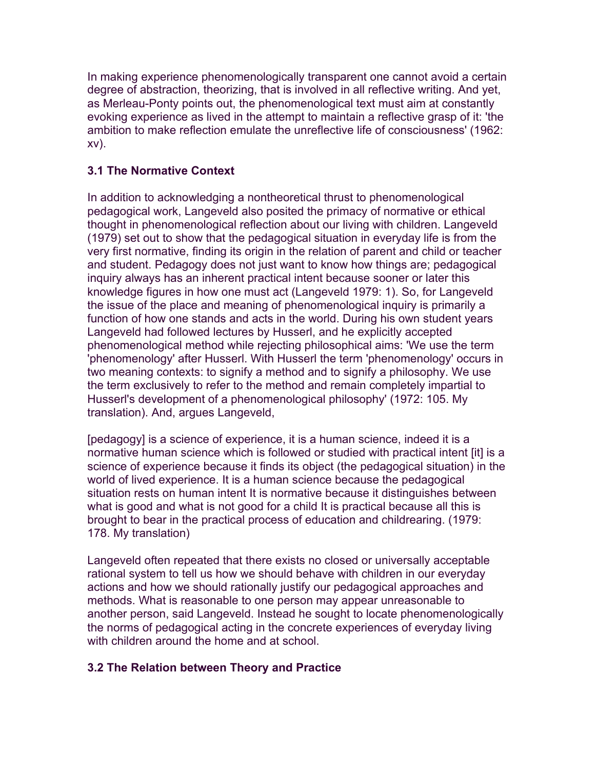In making experience phenomenologically transparent one cannot avoid a certain degree of abstraction, theorizing, that is involved in all reflective writing. And yet, as Merleau-Ponty points out, the phenomenological text must aim at constantly evoking experience as lived in the attempt to maintain a reflective grasp of it: 'the ambition to make reflection emulate the unreflective life of consciousness' (1962: xv).

# **3.1 The Normative Context**

In addition to acknowledging a nontheoretical thrust to phenomenological pedagogical work, Langeveld also posited the primacy of normative or ethical thought in phenomenological reflection about our living with children. Langeveld (1979) set out to show that the pedagogical situation in everyday life is from the very first normative, finding its origin in the relation of parent and child or teacher and student. Pedagogy does not just want to know how things are; pedagogical inquiry always has an inherent practical intent because sooner or later this knowledge figures in how one must act (Langeveld 1979: 1). So, for Langeveld the issue of the place and meaning of phenomenological inquiry is primarily a function of how one stands and acts in the world. During his own student years Langeveld had followed lectures by Husserl, and he explicitly accepted phenomenological method while rejecting philosophical aims: 'We use the term 'phenomenology' after Husserl. With Husserl the term 'phenomenology' occurs in two meaning contexts: to signify a method and to signify a philosophy. We use the term exclusively to refer to the method and remain completely impartial to Husserl's development of a phenomenological philosophy' (1972: 105. My translation). And, argues Langeveld,

[pedagogy] is a science of experience, it is a human science, indeed it is a normative human science which is followed or studied with practical intent [it] is a science of experience because it finds its object (the pedagogical situation) in the world of lived experience. It is a human science because the pedagogical situation rests on human intent It is normative because it distinguishes between what is good and what is not good for a child It is practical because all this is brought to bear in the practical process of education and childrearing. (1979: 178. My translation)

Langeveld often repeated that there exists no closed or universally acceptable rational system to tell us how we should behave with children in our everyday actions and how we should rationally justify our pedagogical approaches and methods. What is reasonable to one person may appear unreasonable to another person, said Langeveld. Instead he sought to locate phenomenologically the norms of pedagogical acting in the concrete experiences of everyday living with children around the home and at school.

## **3.2 The Relation between Theory and Practice**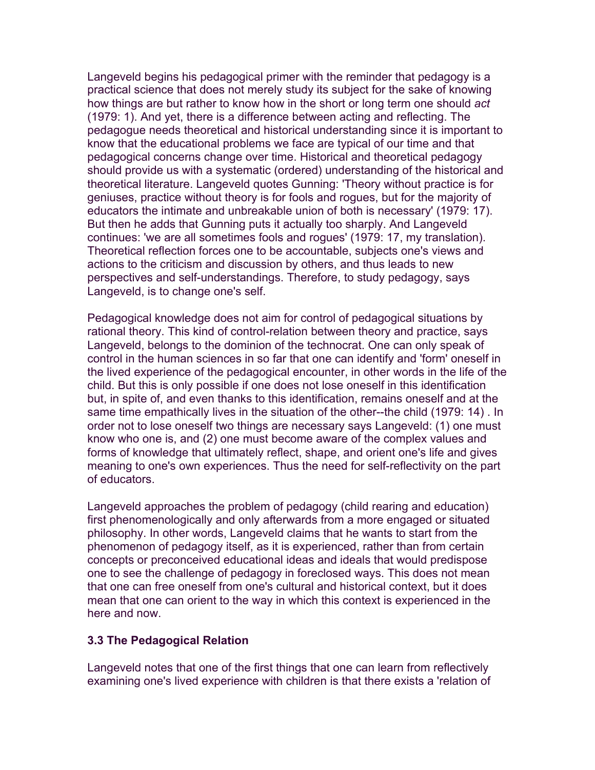Langeveld begins his pedagogical primer with the reminder that pedagogy is a practical science that does not merely study its subject for the sake of knowing how things are but rather to know how in the short or long term one should *act* (1979: 1). And yet, there is a difference between acting and reflecting. The pedagogue needs theoretical and historical understanding since it is important to know that the educational problems we face are typical of our time and that pedagogical concerns change over time. Historical and theoretical pedagogy should provide us with a systematic (ordered) understanding of the historical and theoretical literature. Langeveld quotes Gunning: 'Theory without practice is for geniuses, practice without theory is for fools and rogues, but for the majority of educators the intimate and unbreakable union of both is necessary' (1979: 17). But then he adds that Gunning puts it actually too sharply. And Langeveld continues: 'we are all sometimes fools and rogues' (1979: 17, my translation). Theoretical reflection forces one to be accountable, subjects one's views and actions to the criticism and discussion by others, and thus leads to new perspectives and self-understandings. Therefore, to study pedagogy, says Langeveld, is to change one's self.

Pedagogical knowledge does not aim for control of pedagogical situations by rational theory. This kind of control-relation between theory and practice, says Langeveld, belongs to the dominion of the technocrat. One can only speak of control in the human sciences in so far that one can identify and 'form' oneself in the lived experience of the pedagogical encounter, in other words in the life of the child. But this is only possible if one does not lose oneself in this identification but, in spite of, and even thanks to this identification, remains oneself and at the same time empathically lives in the situation of the other--the child (1979: 14) . In order not to lose oneself two things are necessary says Langeveld: (1) one must know who one is, and (2) one must become aware of the complex values and forms of knowledge that ultimately reflect, shape, and orient one's life and gives meaning to one's own experiences. Thus the need for self-reflectivity on the part of educators.

Langeveld approaches the problem of pedagogy (child rearing and education) first phenomenologically and only afterwards from a more engaged or situated philosophy. In other words, Langeveld claims that he wants to start from the phenomenon of pedagogy itself, as it is experienced, rather than from certain concepts or preconceived educational ideas and ideals that would predispose one to see the challenge of pedagogy in foreclosed ways. This does not mean that one can free oneself from one's cultural and historical context, but it does mean that one can orient to the way in which this context is experienced in the here and now.

## **3.3 The Pedagogical Relation**

Langeveld notes that one of the first things that one can learn from reflectively examining one's lived experience with children is that there exists a 'relation of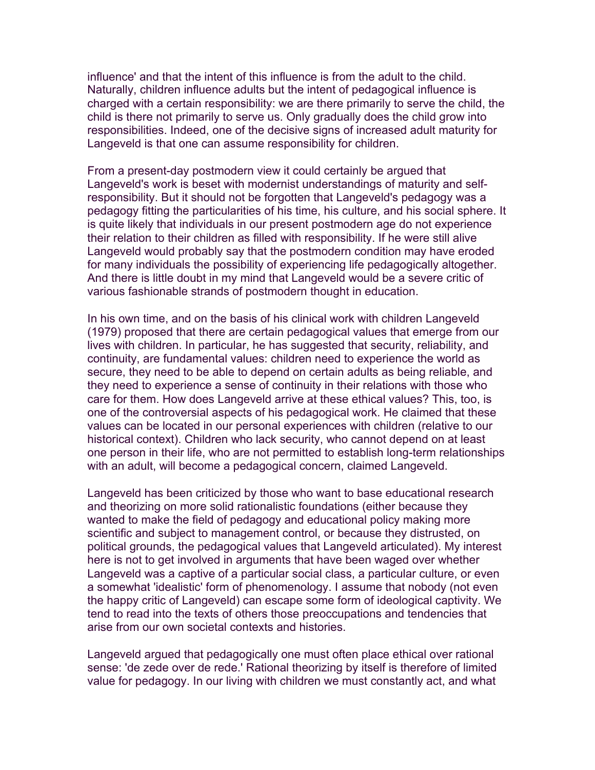influence' and that the intent of this influence is from the adult to the child. Naturally, children influence adults but the intent of pedagogical influence is charged with a certain responsibility: we are there primarily to serve the child, the child is there not primarily to serve us. Only gradually does the child grow into responsibilities. Indeed, one of the decisive signs of increased adult maturity for Langeveld is that one can assume responsibility for children.

From a present-day postmodern view it could certainly be argued that Langeveld's work is beset with modernist understandings of maturity and selfresponsibility. But it should not be forgotten that Langeveld's pedagogy was a pedagogy fitting the particularities of his time, his culture, and his social sphere. It is quite likely that individuals in our present postmodern age do not experience their relation to their children as filled with responsibility. If he were still alive Langeveld would probably say that the postmodern condition may have eroded for many individuals the possibility of experiencing life pedagogically altogether. And there is little doubt in my mind that Langeveld would be a severe critic of various fashionable strands of postmodern thought in education.

In his own time, and on the basis of his clinical work with children Langeveld (1979) proposed that there are certain pedagogical values that emerge from our lives with children. In particular, he has suggested that security, reliability, and continuity, are fundamental values: children need to experience the world as secure, they need to be able to depend on certain adults as being reliable, and they need to experience a sense of continuity in their relations with those who care for them. How does Langeveld arrive at these ethical values? This, too, is one of the controversial aspects of his pedagogical work. He claimed that these values can be located in our personal experiences with children (relative to our historical context). Children who lack security, who cannot depend on at least one person in their life, who are not permitted to establish long-term relationships with an adult, will become a pedagogical concern, claimed Langeveld.

Langeveld has been criticized by those who want to base educational research and theorizing on more solid rationalistic foundations (either because they wanted to make the field of pedagogy and educational policy making more scientific and subject to management control, or because they distrusted, on political grounds, the pedagogical values that Langeveld articulated). My interest here is not to get involved in arguments that have been waged over whether Langeveld was a captive of a particular social class, a particular culture, or even a somewhat 'idealistic' form of phenomenology. I assume that nobody (not even the happy critic of Langeveld) can escape some form of ideological captivity. We tend to read into the texts of others those preoccupations and tendencies that arise from our own societal contexts and histories.

Langeveld argued that pedagogically one must often place ethical over rational sense: 'de zede over de rede.' Rational theorizing by itself is therefore of limited value for pedagogy. In our living with children we must constantly act, and what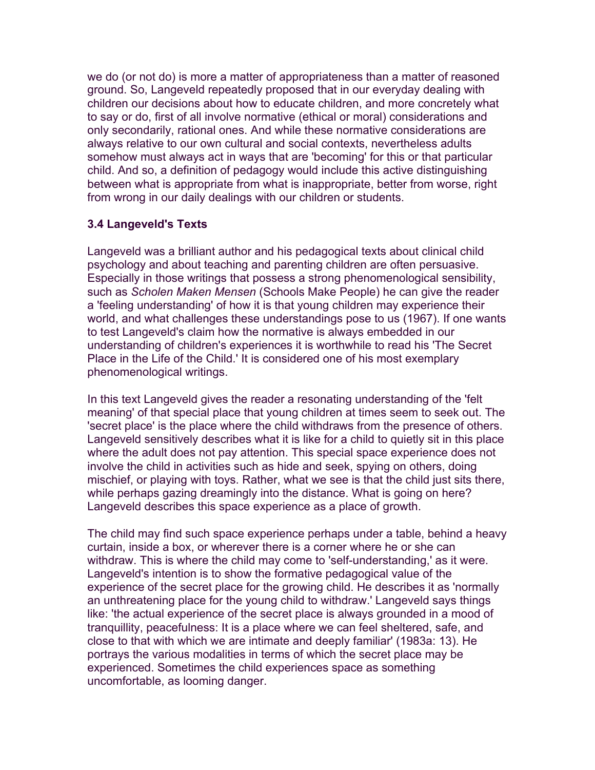we do (or not do) is more a matter of appropriateness than a matter of reasoned ground. So, Langeveld repeatedly proposed that in our everyday dealing with children our decisions about how to educate children, and more concretely what to say or do, first of all involve normative (ethical or moral) considerations and only secondarily, rational ones. And while these normative considerations are always relative to our own cultural and social contexts, nevertheless adults somehow must always act in ways that are 'becoming' for this or that particular child. And so, a definition of pedagogy would include this active distinguishing between what is appropriate from what is inappropriate, better from worse, right from wrong in our daily dealings with our children or students.

## **3.4 Langeveld's Texts**

Langeveld was a brilliant author and his pedagogical texts about clinical child psychology and about teaching and parenting children are often persuasive. Especially in those writings that possess a strong phenomenological sensibility, such as *Scholen Maken Mensen* (Schools Make People) he can give the reader a 'feeling understanding' of how it is that young children may experience their world, and what challenges these understandings pose to us (1967). If one wants to test Langeveld's claim how the normative is always embedded in our understanding of children's experiences it is worthwhile to read his 'The Secret Place in the Life of the Child.' It is considered one of his most exemplary phenomenological writings.

In this text Langeveld gives the reader a resonating understanding of the 'felt meaning' of that special place that young children at times seem to seek out. The 'secret place' is the place where the child withdraws from the presence of others. Langeveld sensitively describes what it is like for a child to quietly sit in this place where the adult does not pay attention. This special space experience does not involve the child in activities such as hide and seek, spying on others, doing mischief, or playing with toys. Rather, what we see is that the child just sits there, while perhaps gazing dreamingly into the distance. What is going on here? Langeveld describes this space experience as a place of growth.

The child may find such space experience perhaps under a table, behind a heavy curtain, inside a box, or wherever there is a corner where he or she can withdraw. This is where the child may come to 'self-understanding,' as it were. Langeveld's intention is to show the formative pedagogical value of the experience of the secret place for the growing child. He describes it as 'normally an unthreatening place for the young child to withdraw.' Langeveld says things like: 'the actual experience of the secret place is always grounded in a mood of tranquillity, peacefulness: It is a place where we can feel sheltered, safe, and close to that with which we are intimate and deeply familiar' (1983a: 13). He portrays the various modalities in terms of which the secret place may be experienced. Sometimes the child experiences space as something uncomfortable, as looming danger.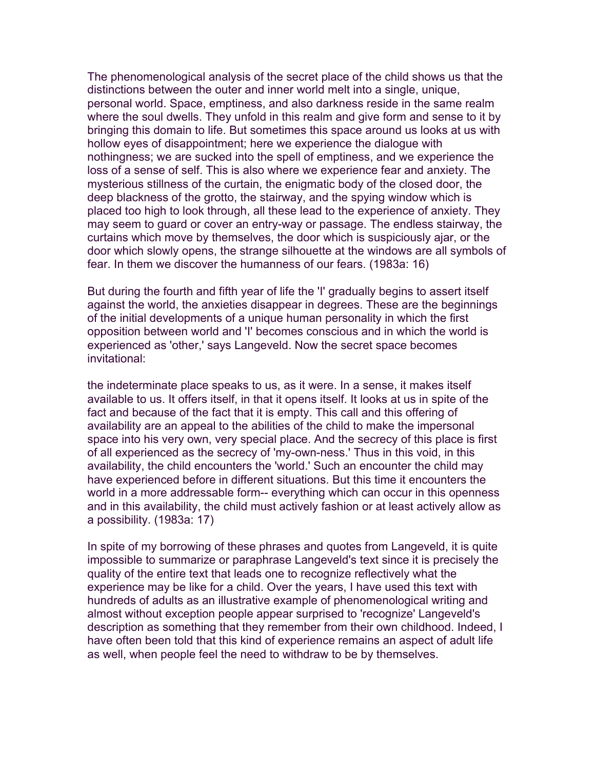The phenomenological analysis of the secret place of the child shows us that the distinctions between the outer and inner world melt into a single, unique, personal world. Space, emptiness, and also darkness reside in the same realm where the soul dwells. They unfold in this realm and give form and sense to it by bringing this domain to life. But sometimes this space around us looks at us with hollow eyes of disappointment; here we experience the dialogue with nothingness; we are sucked into the spell of emptiness, and we experience the loss of a sense of self. This is also where we experience fear and anxiety. The mysterious stillness of the curtain, the enigmatic body of the closed door, the deep blackness of the grotto, the stairway, and the spying window which is placed too high to look through, all these lead to the experience of anxiety. They may seem to guard or cover an entry-way or passage. The endless stairway, the curtains which move by themselves, the door which is suspiciously ajar, or the door which slowly opens, the strange silhouette at the windows are all symbols of fear. In them we discover the humanness of our fears. (1983a: 16)

But during the fourth and fifth year of life the 'I' gradually begins to assert itself against the world, the anxieties disappear in degrees. These are the beginnings of the initial developments of a unique human personality in which the first opposition between world and 'I' becomes conscious and in which the world is experienced as 'other,' says Langeveld. Now the secret space becomes invitational:

the indeterminate place speaks to us, as it were. In a sense, it makes itself available to us. It offers itself, in that it opens itself. It looks at us in spite of the fact and because of the fact that it is empty. This call and this offering of availability are an appeal to the abilities of the child to make the impersonal space into his very own, very special place. And the secrecy of this place is first of all experienced as the secrecy of 'my-own-ness.' Thus in this void, in this availability, the child encounters the 'world.' Such an encounter the child may have experienced before in different situations. But this time it encounters the world in a more addressable form-- everything which can occur in this openness and in this availability, the child must actively fashion or at least actively allow as a possibility. (1983a: 17)

In spite of my borrowing of these phrases and quotes from Langeveld, it is quite impossible to summarize or paraphrase Langeveld's text since it is precisely the quality of the entire text that leads one to recognize reflectively what the experience may be like for a child. Over the years, I have used this text with hundreds of adults as an illustrative example of phenomenological writing and almost without exception people appear surprised to 'recognize' Langeveld's description as something that they remember from their own childhood. Indeed, I have often been told that this kind of experience remains an aspect of adult life as well, when people feel the need to withdraw to be by themselves.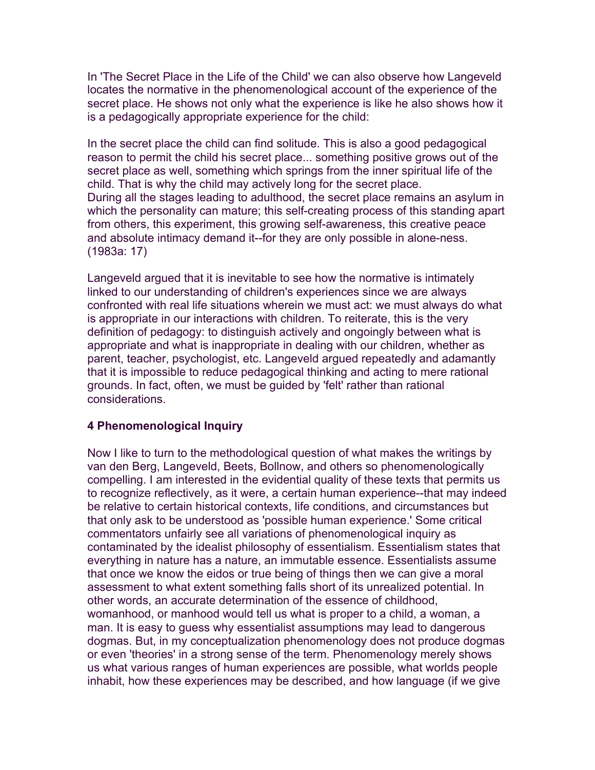In 'The Secret Place in the Life of the Child' we can also observe how Langeveld locates the normative in the phenomenological account of the experience of the secret place. He shows not only what the experience is like he also shows how it is a pedagogically appropriate experience for the child:

In the secret place the child can find solitude. This is also a good pedagogical reason to permit the child his secret place... something positive grows out of the secret place as well, something which springs from the inner spiritual life of the child. That is why the child may actively long for the secret place. During all the stages leading to adulthood, the secret place remains an asylum in which the personality can mature; this self-creating process of this standing apart from others, this experiment, this growing self-awareness, this creative peace and absolute intimacy demand it--for they are only possible in alone-ness. (1983a: 17)

Langeveld argued that it is inevitable to see how the normative is intimately linked to our understanding of children's experiences since we are always confronted with real life situations wherein we must act: we must always do what is appropriate in our interactions with children. To reiterate, this is the very definition of pedagogy: to distinguish actively and ongoingly between what is appropriate and what is inappropriate in dealing with our children, whether as parent, teacher, psychologist, etc. Langeveld argued repeatedly and adamantly that it is impossible to reduce pedagogical thinking and acting to mere rational grounds. In fact, often, we must be guided by 'felt' rather than rational considerations.

### **4 Phenomenological Inquiry**

Now I like to turn to the methodological question of what makes the writings by van den Berg, Langeveld, Beets, Bollnow, and others so phenomenologically compelling. I am interested in the evidential quality of these texts that permits us to recognize reflectively, as it were, a certain human experience--that may indeed be relative to certain historical contexts, life conditions, and circumstances but that only ask to be understood as 'possible human experience.' Some critical commentators unfairly see all variations of phenomenological inquiry as contaminated by the idealist philosophy of essentialism. Essentialism states that everything in nature has a nature, an immutable essence. Essentialists assume that once we know the eidos or true being of things then we can give a moral assessment to what extent something falls short of its unrealized potential. In other words, an accurate determination of the essence of childhood, womanhood, or manhood would tell us what is proper to a child, a woman, a man. It is easy to guess why essentialist assumptions may lead to dangerous dogmas. But, in my conceptualization phenomenology does not produce dogmas or even 'theories' in a strong sense of the term. Phenomenology merely shows us what various ranges of human experiences are possible, what worlds people inhabit, how these experiences may be described, and how language (if we give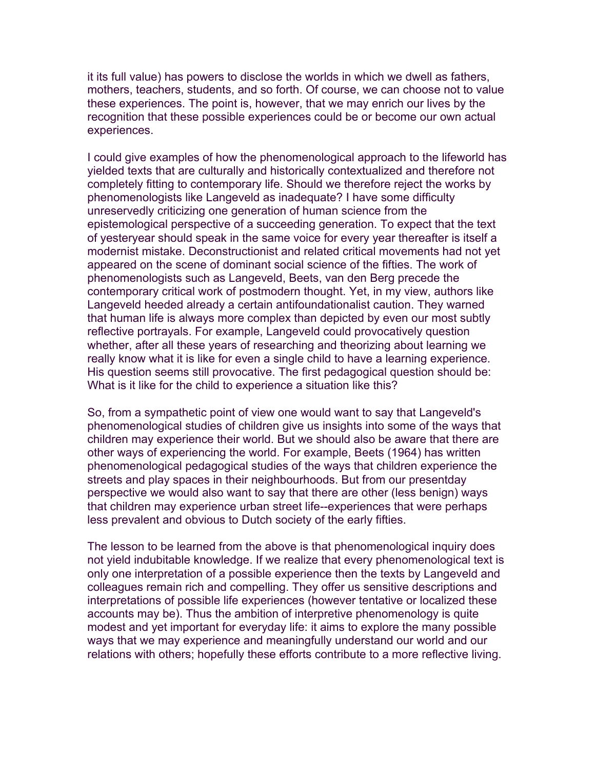it its full value) has powers to disclose the worlds in which we dwell as fathers, mothers, teachers, students, and so forth. Of course, we can choose not to value these experiences. The point is, however, that we may enrich our lives by the recognition that these possible experiences could be or become our own actual experiences.

I could give examples of how the phenomenological approach to the lifeworld has yielded texts that are culturally and historically contextualized and therefore not completely fitting to contemporary life. Should we therefore reject the works by phenomenologists like Langeveld as inadequate? I have some difficulty unreservedly criticizing one generation of human science from the epistemological perspective of a succeeding generation. To expect that the text of yesteryear should speak in the same voice for every year thereafter is itself a modernist mistake. Deconstructionist and related critical movements had not yet appeared on the scene of dominant social science of the fifties. The work of phenomenologists such as Langeveld, Beets, van den Berg precede the contemporary critical work of postmodern thought. Yet, in my view, authors like Langeveld heeded already a certain antifoundationalist caution. They warned that human life is always more complex than depicted by even our most subtly reflective portrayals. For example, Langeveld could provocatively question whether, after all these years of researching and theorizing about learning we really know what it is like for even a single child to have a learning experience. His question seems still provocative. The first pedagogical question should be: What is it like for the child to experience a situation like this?

So, from a sympathetic point of view one would want to say that Langeveld's phenomenological studies of children give us insights into some of the ways that children may experience their world. But we should also be aware that there are other ways of experiencing the world. For example, Beets (1964) has written phenomenological pedagogical studies of the ways that children experience the streets and play spaces in their neighbourhoods. But from our presentday perspective we would also want to say that there are other (less benign) ways that children may experience urban street life--experiences that were perhaps less prevalent and obvious to Dutch society of the early fifties.

The lesson to be learned from the above is that phenomenological inquiry does not yield indubitable knowledge. If we realize that every phenomenological text is only one interpretation of a possible experience then the texts by Langeveld and colleagues remain rich and compelling. They offer us sensitive descriptions and interpretations of possible life experiences (however tentative or localized these accounts may be). Thus the ambition of interpretive phenomenology is quite modest and yet important for everyday life: it aims to explore the many possible ways that we may experience and meaningfully understand our world and our relations with others; hopefully these efforts contribute to a more reflective living.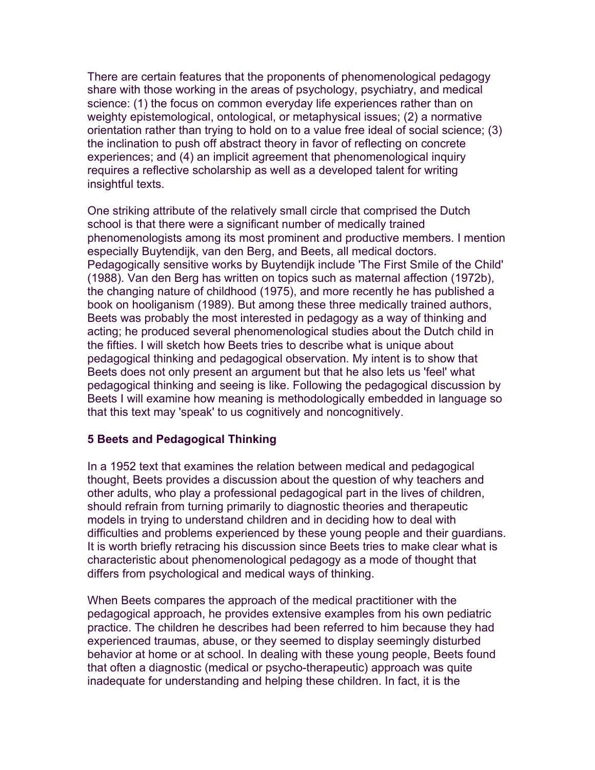There are certain features that the proponents of phenomenological pedagogy share with those working in the areas of psychology, psychiatry, and medical science: (1) the focus on common everyday life experiences rather than on weighty epistemological, ontological, or metaphysical issues; (2) a normative orientation rather than trying to hold on to a value free ideal of social science; (3) the inclination to push off abstract theory in favor of reflecting on concrete experiences; and (4) an implicit agreement that phenomenological inquiry requires a reflective scholarship as well as a developed talent for writing insightful texts.

One striking attribute of the relatively small circle that comprised the Dutch school is that there were a significant number of medically trained phenomenologists among its most prominent and productive members. I mention especially Buytendijk, van den Berg, and Beets, all medical doctors. Pedagogically sensitive works by Buytendijk include 'The First Smile of the Child' (1988). Van den Berg has written on topics such as maternal affection (1972b), the changing nature of childhood (1975), and more recently he has published a book on hooliganism (1989). But among these three medically trained authors, Beets was probably the most interested in pedagogy as a way of thinking and acting; he produced several phenomenological studies about the Dutch child in the fifties. I will sketch how Beets tries to describe what is unique about pedagogical thinking and pedagogical observation. My intent is to show that Beets does not only present an argument but that he also lets us 'feel' what pedagogical thinking and seeing is like. Following the pedagogical discussion by Beets I will examine how meaning is methodologically embedded in language so that this text may 'speak' to us cognitively and noncognitively.

## **5 Beets and Pedagogical Thinking**

In a 1952 text that examines the relation between medical and pedagogical thought, Beets provides a discussion about the question of why teachers and other adults, who play a professional pedagogical part in the lives of children, should refrain from turning primarily to diagnostic theories and therapeutic models in trying to understand children and in deciding how to deal with difficulties and problems experienced by these young people and their guardians. It is worth briefly retracing his discussion since Beets tries to make clear what is characteristic about phenomenological pedagogy as a mode of thought that differs from psychological and medical ways of thinking.

When Beets compares the approach of the medical practitioner with the pedagogical approach, he provides extensive examples from his own pediatric practice. The children he describes had been referred to him because they had experienced traumas, abuse, or they seemed to display seemingly disturbed behavior at home or at school. In dealing with these young people, Beets found that often a diagnostic (medical or psycho-therapeutic) approach was quite inadequate for understanding and helping these children. In fact, it is the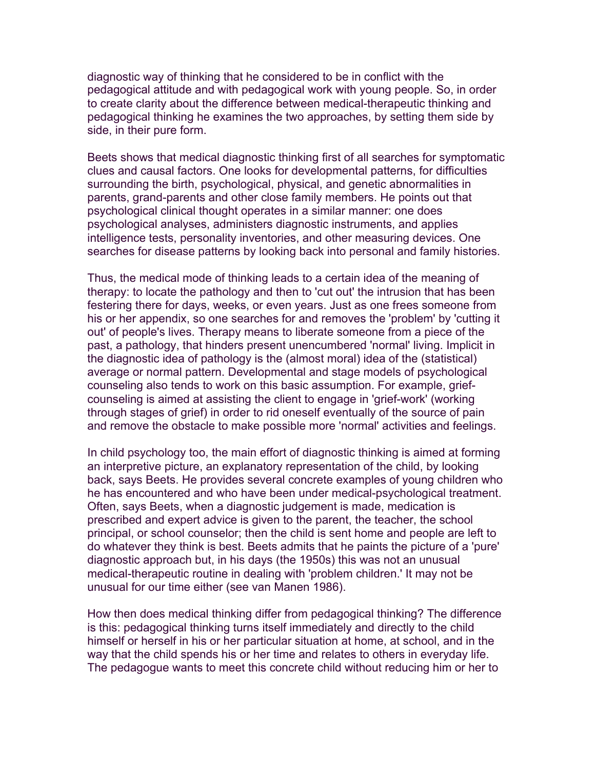diagnostic way of thinking that he considered to be in conflict with the pedagogical attitude and with pedagogical work with young people. So, in order to create clarity about the difference between medical-therapeutic thinking and pedagogical thinking he examines the two approaches, by setting them side by side, in their pure form.

Beets shows that medical diagnostic thinking first of all searches for symptomatic clues and causal factors. One looks for developmental patterns, for difficulties surrounding the birth, psychological, physical, and genetic abnormalities in parents, grand-parents and other close family members. He points out that psychological clinical thought operates in a similar manner: one does psychological analyses, administers diagnostic instruments, and applies intelligence tests, personality inventories, and other measuring devices. One searches for disease patterns by looking back into personal and family histories.

Thus, the medical mode of thinking leads to a certain idea of the meaning of therapy: to locate the pathology and then to 'cut out' the intrusion that has been festering there for days, weeks, or even years. Just as one frees someone from his or her appendix, so one searches for and removes the 'problem' by 'cutting it out' of people's lives. Therapy means to liberate someone from a piece of the past, a pathology, that hinders present unencumbered 'normal' living. Implicit in the diagnostic idea of pathology is the (almost moral) idea of the (statistical) average or normal pattern. Developmental and stage models of psychological counseling also tends to work on this basic assumption. For example, griefcounseling is aimed at assisting the client to engage in 'grief-work' (working through stages of grief) in order to rid oneself eventually of the source of pain and remove the obstacle to make possible more 'normal' activities and feelings.

In child psychology too, the main effort of diagnostic thinking is aimed at forming an interpretive picture, an explanatory representation of the child, by looking back, says Beets. He provides several concrete examples of young children who he has encountered and who have been under medical-psychological treatment. Often, says Beets, when a diagnostic judgement is made, medication is prescribed and expert advice is given to the parent, the teacher, the school principal, or school counselor; then the child is sent home and people are left to do whatever they think is best. Beets admits that he paints the picture of a 'pure' diagnostic approach but, in his days (the 1950s) this was not an unusual medical-therapeutic routine in dealing with 'problem children.' It may not be unusual for our time either (see van Manen 1986).

How then does medical thinking differ from pedagogical thinking? The difference is this: pedagogical thinking turns itself immediately and directly to the child himself or herself in his or her particular situation at home, at school, and in the way that the child spends his or her time and relates to others in everyday life. The pedagogue wants to meet this concrete child without reducing him or her to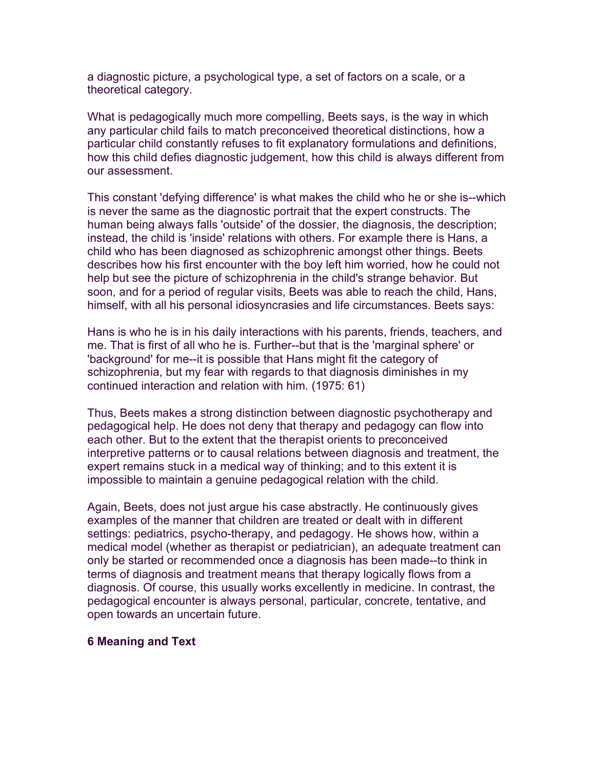a diagnostic picture, a psychological type, a set of factors on a scale, or a theoretical category.

What is pedagogically much more compelling, Beets says, is the way in which any particular child fails to match preconceived theoretical distinctions, how a particular child constantly refuses to fit explanatory formulations and definitions, how this child defies diagnostic judgement, how this child is always different from our assessment.

This constant 'defying difference' is what makes the child who he or she is--which is never the same as the diagnostic portrait that the expert constructs. The human being always falls 'outside' of the dossier, the diagnosis, the description; instead, the child is 'inside' relations with others. For example there is Hans, a child who has been diagnosed as schizophrenic amongst other things. Beets describes how his first encounter with the boy left him worried, how he could not help but see the picture of schizophrenia in the child's strange behavior. But soon, and for a period of regular visits, Beets was able to reach the child, Hans, himself, with all his personal idiosyncrasies and life circumstances. Beets says:

Hans is who he is in his daily interactions with his parents, friends, teachers, and me. That is first of all who he is. Further--but that is the 'marginal sphere' or 'background' for me--it is possible that Hans might fit the category of schizophrenia, but my fear with regards to that diagnosis diminishes in my continued interaction and relation with him. (1975: 61)

Thus, Beets makes a strong distinction between diagnostic psychotherapy and pedagogical help. He does not deny that therapy and pedagogy can flow into each other. But to the extent that the therapist orients to preconceived interpretive patterns or to causal relations between diagnosis and treatment, the expert remains stuck in a medical way of thinking; and to this extent it is impossible to maintain a genuine pedagogical relation with the child.

Again, Beets, does not just argue his case abstractly. He continuously gives examples of the manner that children are treated or dealt with in different settings: pediatrics, psycho-therapy, and pedagogy. He shows how, within a medical model (whether as therapist or pediatrician), an adequate treatment can only be started or recommended once a diagnosis has been made--to think in terms of diagnosis and treatment means that therapy logically flows from a diagnosis. Of course, this usually works excellently in medicine. In contrast, the pedagogical encounter is always personal, particular, concrete, tentative, and open towards an uncertain future.

#### **6 Meaning and Text**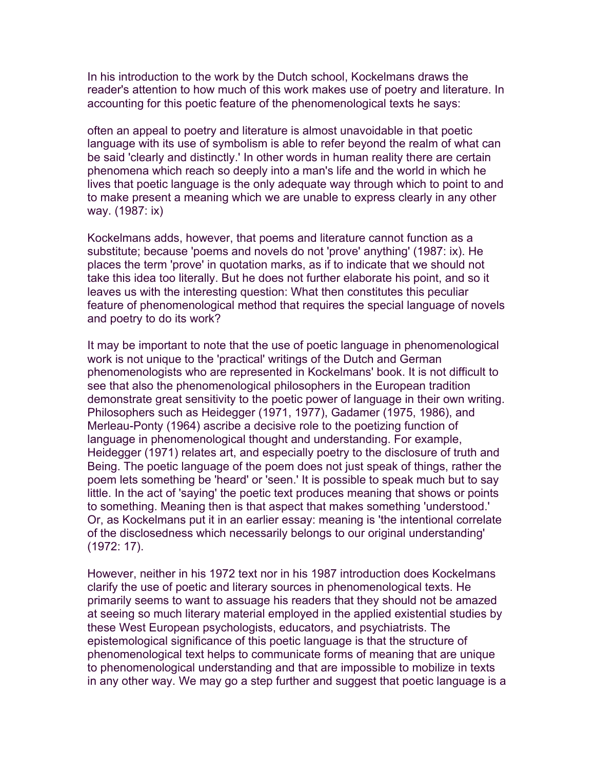In his introduction to the work by the Dutch school, Kockelmans draws the reader's attention to how much of this work makes use of poetry and literature. In accounting for this poetic feature of the phenomenological texts he says:

often an appeal to poetry and literature is almost unavoidable in that poetic language with its use of symbolism is able to refer beyond the realm of what can be said 'clearly and distinctly.' In other words in human reality there are certain phenomena which reach so deeply into a man's life and the world in which he lives that poetic language is the only adequate way through which to point to and to make present a meaning which we are unable to express clearly in any other way. (1987: ix)

Kockelmans adds, however, that poems and literature cannot function as a substitute; because 'poems and novels do not 'prove' anything' (1987: ix). He places the term 'prove' in quotation marks, as if to indicate that we should not take this idea too literally. But he does not further elaborate his point, and so it leaves us with the interesting question: What then constitutes this peculiar feature of phenomenological method that requires the special language of novels and poetry to do its work?

It may be important to note that the use of poetic language in phenomenological work is not unique to the 'practical' writings of the Dutch and German phenomenologists who are represented in Kockelmans' book. It is not difficult to see that also the phenomenological philosophers in the European tradition demonstrate great sensitivity to the poetic power of language in their own writing. Philosophers such as Heidegger (1971, 1977), Gadamer (1975, 1986), and Merleau-Ponty (1964) ascribe a decisive role to the poetizing function of language in phenomenological thought and understanding. For example, Heidegger (1971) relates art, and especially poetry to the disclosure of truth and Being. The poetic language of the poem does not just speak of things, rather the poem lets something be 'heard' or 'seen.' It is possible to speak much but to say little. In the act of 'saying' the poetic text produces meaning that shows or points to something. Meaning then is that aspect that makes something 'understood.' Or, as Kockelmans put it in an earlier essay: meaning is 'the intentional correlate of the disclosedness which necessarily belongs to our original understanding' (1972: 17).

However, neither in his 1972 text nor in his 1987 introduction does Kockelmans clarify the use of poetic and literary sources in phenomenological texts. He primarily seems to want to assuage his readers that they should not be amazed at seeing so much literary material employed in the applied existential studies by these West European psychologists, educators, and psychiatrists. The epistemological significance of this poetic language is that the structure of phenomenological text helps to communicate forms of meaning that are unique to phenomenological understanding and that are impossible to mobilize in texts in any other way. We may go a step further and suggest that poetic language is a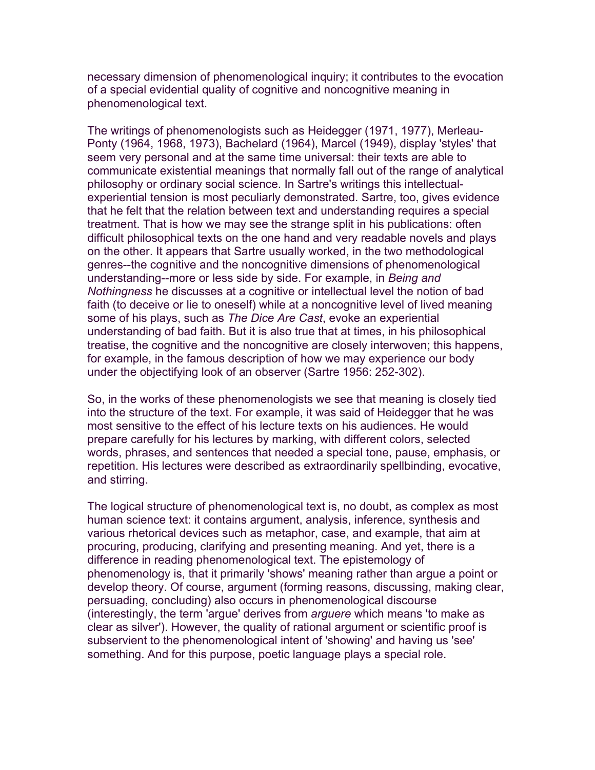necessary dimension of phenomenological inquiry; it contributes to the evocation of a special evidential quality of cognitive and noncognitive meaning in phenomenological text.

The writings of phenomenologists such as Heidegger (1971, 1977), Merleau-Ponty (1964, 1968, 1973), Bachelard (1964), Marcel (1949), display 'styles' that seem very personal and at the same time universal: their texts are able to communicate existential meanings that normally fall out of the range of analytical philosophy or ordinary social science. In Sartre's writings this intellectualexperiential tension is most peculiarly demonstrated. Sartre, too, gives evidence that he felt that the relation between text and understanding requires a special treatment. That is how we may see the strange split in his publications: often difficult philosophical texts on the one hand and very readable novels and plays on the other. It appears that Sartre usually worked, in the two methodological genres--the cognitive and the noncognitive dimensions of phenomenological understanding--more or less side by side. For example, in *Being and Nothingness* he discusses at a cognitive or intellectual level the notion of bad faith (to deceive or lie to oneself) while at a noncognitive level of lived meaning some of his plays, such as *The Dice Are Cast*, evoke an experiential understanding of bad faith. But it is also true that at times, in his philosophical treatise, the cognitive and the noncognitive are closely interwoven; this happens, for example, in the famous description of how we may experience our body under the objectifying look of an observer (Sartre 1956: 252-302).

So, in the works of these phenomenologists we see that meaning is closely tied into the structure of the text. For example, it was said of Heidegger that he was most sensitive to the effect of his lecture texts on his audiences. He would prepare carefully for his lectures by marking, with different colors, selected words, phrases, and sentences that needed a special tone, pause, emphasis, or repetition. His lectures were described as extraordinarily spellbinding, evocative, and stirring.

The logical structure of phenomenological text is, no doubt, as complex as most human science text: it contains argument, analysis, inference, synthesis and various rhetorical devices such as metaphor, case, and example, that aim at procuring, producing, clarifying and presenting meaning. And yet, there is a difference in reading phenomenological text. The epistemology of phenomenology is, that it primarily 'shows' meaning rather than argue a point or develop theory. Of course, argument (forming reasons, discussing, making clear, persuading, concluding) also occurs in phenomenological discourse (interestingly, the term 'argue' derives from *arguere* which means 'to make as clear as silver'). However, the quality of rational argument or scientific proof is subservient to the phenomenological intent of 'showing' and having us 'see' something. And for this purpose, poetic language plays a special role.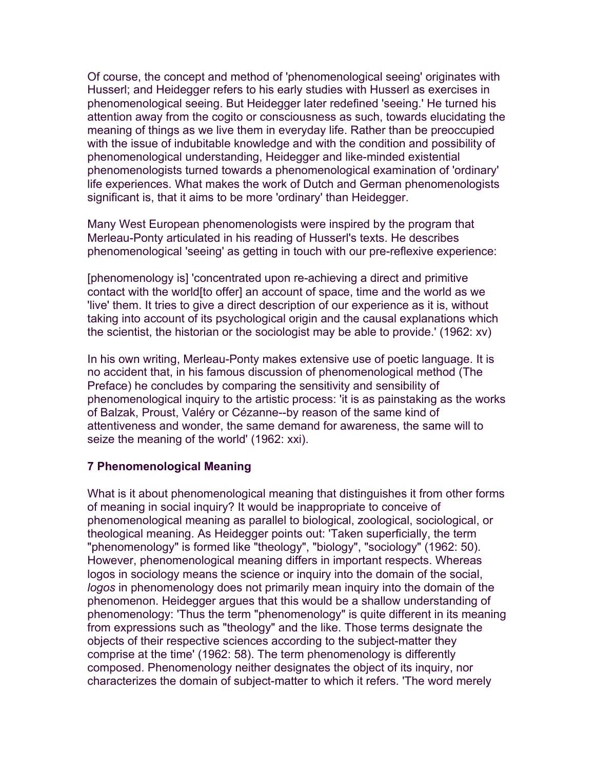Of course, the concept and method of 'phenomenological seeing' originates with Husserl; and Heidegger refers to his early studies with Husserl as exercises in phenomenological seeing. But Heidegger later redefined 'seeing.' He turned his attention away from the cogito or consciousness as such, towards elucidating the meaning of things as we live them in everyday life. Rather than be preoccupied with the issue of indubitable knowledge and with the condition and possibility of phenomenological understanding, Heidegger and like-minded existential phenomenologists turned towards a phenomenological examination of 'ordinary' life experiences. What makes the work of Dutch and German phenomenologists significant is, that it aims to be more 'ordinary' than Heidegger.

Many West European phenomenologists were inspired by the program that Merleau-Ponty articulated in his reading of Husserl's texts. He describes phenomenological 'seeing' as getting in touch with our pre-reflexive experience:

[phenomenology is] 'concentrated upon re-achieving a direct and primitive contact with the world[to offer] an account of space, time and the world as we 'live' them. It tries to give a direct description of our experience as it is, without taking into account of its psychological origin and the causal explanations which the scientist, the historian or the sociologist may be able to provide.' (1962: xv)

In his own writing, Merleau-Ponty makes extensive use of poetic language. It is no accident that, in his famous discussion of phenomenological method (The Preface) he concludes by comparing the sensitivity and sensibility of phenomenological inquiry to the artistic process: 'it is as painstaking as the works of Balzak, Proust, Valéry or Cézanne--by reason of the same kind of attentiveness and wonder, the same demand for awareness, the same will to seize the meaning of the world' (1962: xxi).

### **7 Phenomenological Meaning**

What is it about phenomenological meaning that distinguishes it from other forms of meaning in social inquiry? It would be inappropriate to conceive of phenomenological meaning as parallel to biological, zoological, sociological, or theological meaning. As Heidegger points out: 'Taken superficially, the term "phenomenology" is formed like "theology", "biology", "sociology" (1962: 50). However, phenomenological meaning differs in important respects. Whereas logos in sociology means the science or inquiry into the domain of the social, *logos* in phenomenology does not primarily mean inquiry into the domain of the phenomenon. Heidegger argues that this would be a shallow understanding of phenomenology: 'Thus the term "phenomenology" is quite different in its meaning from expressions such as "theology" and the like. Those terms designate the objects of their respective sciences according to the subject-matter they comprise at the time' (1962: 58). The term phenomenology is differently composed. Phenomenology neither designates the object of its inquiry, nor characterizes the domain of subject-matter to which it refers. 'The word merely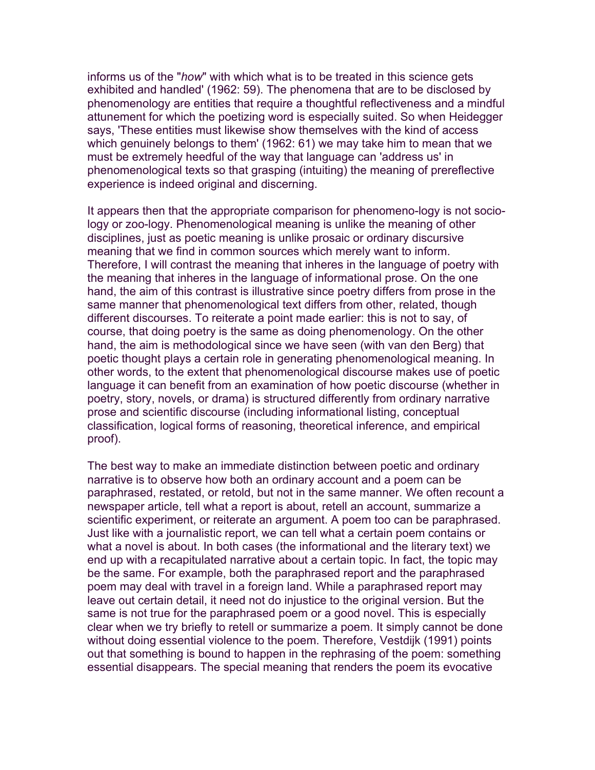informs us of the "*how*" with which what is to be treated in this science gets exhibited and handled' (1962: 59). The phenomena that are to be disclosed by phenomenology are entities that require a thoughtful reflectiveness and a mindful attunement for which the poetizing word is especially suited. So when Heidegger says, 'These entities must likewise show themselves with the kind of access which genuinely belongs to them' (1962: 61) we may take him to mean that we must be extremely heedful of the way that language can 'address us' in phenomenological texts so that grasping (intuiting) the meaning of prereflective experience is indeed original and discerning.

It appears then that the appropriate comparison for phenomeno-logy is not sociology or zoo-logy. Phenomenological meaning is unlike the meaning of other disciplines, just as poetic meaning is unlike prosaic or ordinary discursive meaning that we find in common sources which merely want to inform. Therefore, I will contrast the meaning that inheres in the language of poetry with the meaning that inheres in the language of informational prose. On the one hand, the aim of this contrast is illustrative since poetry differs from prose in the same manner that phenomenological text differs from other, related, though different discourses. To reiterate a point made earlier: this is not to say, of course, that doing poetry is the same as doing phenomenology. On the other hand, the aim is methodological since we have seen (with van den Berg) that poetic thought plays a certain role in generating phenomenological meaning. In other words, to the extent that phenomenological discourse makes use of poetic language it can benefit from an examination of how poetic discourse (whether in poetry, story, novels, or drama) is structured differently from ordinary narrative prose and scientific discourse (including informational listing, conceptual classification, logical forms of reasoning, theoretical inference, and empirical proof).

The best way to make an immediate distinction between poetic and ordinary narrative is to observe how both an ordinary account and a poem can be paraphrased, restated, or retold, but not in the same manner. We often recount a newspaper article, tell what a report is about, retell an account, summarize a scientific experiment, or reiterate an argument. A poem too can be paraphrased. Just like with a journalistic report, we can tell what a certain poem contains or what a novel is about. In both cases (the informational and the literary text) we end up with a recapitulated narrative about a certain topic. In fact, the topic may be the same. For example, both the paraphrased report and the paraphrased poem may deal with travel in a foreign land. While a paraphrased report may leave out certain detail, it need not do injustice to the original version. But the same is not true for the paraphrased poem or a good novel. This is especially clear when we try briefly to retell or summarize a poem. It simply cannot be done without doing essential violence to the poem. Therefore, Vestdijk (1991) points out that something is bound to happen in the rephrasing of the poem: something essential disappears. The special meaning that renders the poem its evocative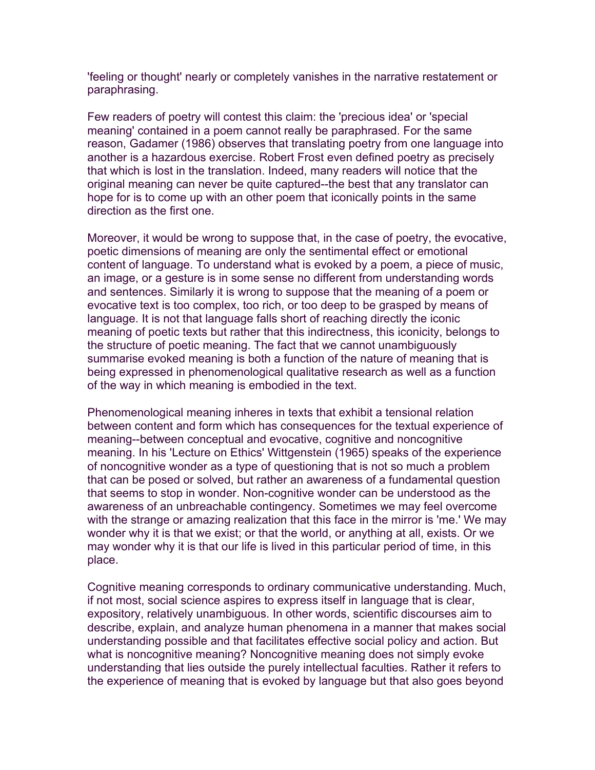'feeling or thought' nearly or completely vanishes in the narrative restatement or paraphrasing.

Few readers of poetry will contest this claim: the 'precious idea' or 'special meaning' contained in a poem cannot really be paraphrased. For the same reason, Gadamer (1986) observes that translating poetry from one language into another is a hazardous exercise. Robert Frost even defined poetry as precisely that which is lost in the translation. Indeed, many readers will notice that the original meaning can never be quite captured--the best that any translator can hope for is to come up with an other poem that iconically points in the same direction as the first one.

Moreover, it would be wrong to suppose that, in the case of poetry, the evocative, poetic dimensions of meaning are only the sentimental effect or emotional content of language. To understand what is evoked by a poem, a piece of music, an image, or a gesture is in some sense no different from understanding words and sentences. Similarly it is wrong to suppose that the meaning of a poem or evocative text is too complex, too rich, or too deep to be grasped by means of language. It is not that language falls short of reaching directly the iconic meaning of poetic texts but rather that this indirectness, this iconicity, belongs to the structure of poetic meaning. The fact that we cannot unambiguously summarise evoked meaning is both a function of the nature of meaning that is being expressed in phenomenological qualitative research as well as a function of the way in which meaning is embodied in the text.

Phenomenological meaning inheres in texts that exhibit a tensional relation between content and form which has consequences for the textual experience of meaning--between conceptual and evocative, cognitive and noncognitive meaning. In his 'Lecture on Ethics' Wittgenstein (1965) speaks of the experience of noncognitive wonder as a type of questioning that is not so much a problem that can be posed or solved, but rather an awareness of a fundamental question that seems to stop in wonder. Non-cognitive wonder can be understood as the awareness of an unbreachable contingency. Sometimes we may feel overcome with the strange or amazing realization that this face in the mirror is 'me.' We may wonder why it is that we exist; or that the world, or anything at all, exists. Or we may wonder why it is that our life is lived in this particular period of time, in this place.

Cognitive meaning corresponds to ordinary communicative understanding. Much, if not most, social science aspires to express itself in language that is clear, expository, relatively unambiguous. In other words, scientific discourses aim to describe, explain, and analyze human phenomena in a manner that makes social understanding possible and that facilitates effective social policy and action. But what is noncognitive meaning? Noncognitive meaning does not simply evoke understanding that lies outside the purely intellectual faculties. Rather it refers to the experience of meaning that is evoked by language but that also goes beyond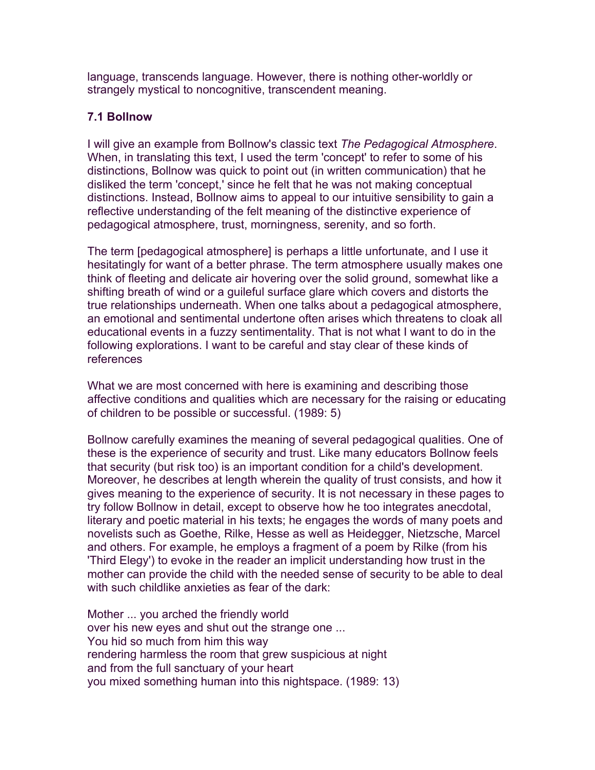language, transcends language. However, there is nothing other-worldly or strangely mystical to noncognitive, transcendent meaning.

## **7.1 Bollnow**

I will give an example from Bollnow's classic text *The Pedagogical Atmosphere*. When, in translating this text, I used the term 'concept' to refer to some of his distinctions, Bollnow was quick to point out (in written communication) that he disliked the term 'concept,' since he felt that he was not making conceptual distinctions. Instead, Bollnow aims to appeal to our intuitive sensibility to gain a reflective understanding of the felt meaning of the distinctive experience of pedagogical atmosphere, trust, morningness, serenity, and so forth.

The term [pedagogical atmosphere] is perhaps a little unfortunate, and I use it hesitatingly for want of a better phrase. The term atmosphere usually makes one think of fleeting and delicate air hovering over the solid ground, somewhat like a shifting breath of wind or a guileful surface glare which covers and distorts the true relationships underneath. When one talks about a pedagogical atmosphere, an emotional and sentimental undertone often arises which threatens to cloak all educational events in a fuzzy sentimentality. That is not what I want to do in the following explorations. I want to be careful and stay clear of these kinds of references

What we are most concerned with here is examining and describing those affective conditions and qualities which are necessary for the raising or educating of children to be possible or successful. (1989: 5)

Bollnow carefully examines the meaning of several pedagogical qualities. One of these is the experience of security and trust. Like many educators Bollnow feels that security (but risk too) is an important condition for a child's development. Moreover, he describes at length wherein the quality of trust consists, and how it gives meaning to the experience of security. It is not necessary in these pages to try follow Bollnow in detail, except to observe how he too integrates anecdotal, literary and poetic material in his texts; he engages the words of many poets and novelists such as Goethe, Rilke, Hesse as well as Heidegger, Nietzsche, Marcel and others. For example, he employs a fragment of a poem by Rilke (from his 'Third Elegy') to evoke in the reader an implicit understanding how trust in the mother can provide the child with the needed sense of security to be able to deal with such childlike anxieties as fear of the dark:

Mother ... you arched the friendly world over his new eyes and shut out the strange one ... You hid so much from him this way rendering harmless the room that grew suspicious at night and from the full sanctuary of your heart you mixed something human into this nightspace. (1989: 13)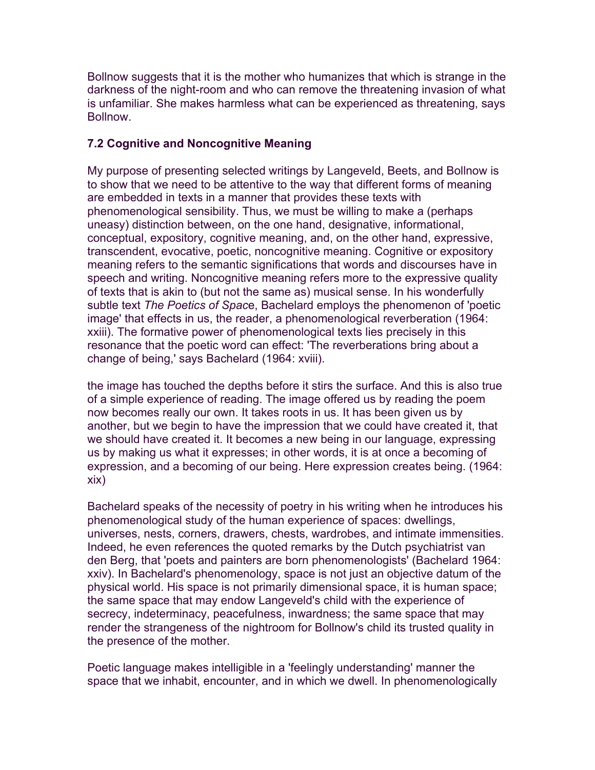Bollnow suggests that it is the mother who humanizes that which is strange in the darkness of the night-room and who can remove the threatening invasion of what is unfamiliar. She makes harmless what can be experienced as threatening, says Bollnow.

# **7.2 Cognitive and Noncognitive Meaning**

My purpose of presenting selected writings by Langeveld, Beets, and Bollnow is to show that we need to be attentive to the way that different forms of meaning are embedded in texts in a manner that provides these texts with phenomenological sensibility. Thus, we must be willing to make a (perhaps uneasy) distinction between, on the one hand, designative, informational, conceptual, expository, cognitive meaning, and, on the other hand, expressive, transcendent, evocative, poetic, noncognitive meaning. Cognitive or expository meaning refers to the semantic significations that words and discourses have in speech and writing. Noncognitive meaning refers more to the expressive quality of texts that is akin to (but not the same as) musical sense. In his wonderfully subtle text *The Poetics of Spac*e, Bachelard employs the phenomenon of 'poetic image' that effects in us, the reader, a phenomenological reverberation (1964: xxiii). The formative power of phenomenological texts lies precisely in this resonance that the poetic word can effect: 'The reverberations bring about a change of being,' says Bachelard (1964: xviii).

the image has touched the depths before it stirs the surface. And this is also true of a simple experience of reading. The image offered us by reading the poem now becomes really our own. It takes roots in us. It has been given us by another, but we begin to have the impression that we could have created it, that we should have created it. It becomes a new being in our language, expressing us by making us what it expresses; in other words, it is at once a becoming of expression, and a becoming of our being. Here expression creates being. (1964: xix)

Bachelard speaks of the necessity of poetry in his writing when he introduces his phenomenological study of the human experience of spaces: dwellings, universes, nests, corners, drawers, chests, wardrobes, and intimate immensities. Indeed, he even references the quoted remarks by the Dutch psychiatrist van den Berg, that 'poets and painters are born phenomenologists' (Bachelard 1964: xxiv). In Bachelard's phenomenology, space is not just an objective datum of the physical world. His space is not primarily dimensional space, it is human space; the same space that may endow Langeveld's child with the experience of secrecy, indeterminacy, peacefulness, inwardness; the same space that may render the strangeness of the nightroom for Bollnow's child its trusted quality in the presence of the mother.

Poetic language makes intelligible in a 'feelingly understanding' manner the space that we inhabit, encounter, and in which we dwell. In phenomenologically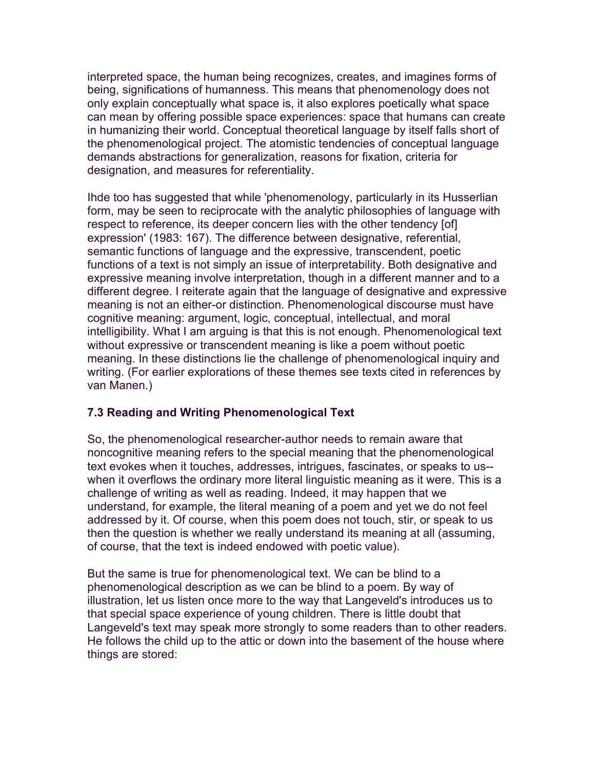interpreted space, the human being recognizes, creates, and imagines forms of being, significations of humanness. This means that phenomenology does not only explain conceptually what space is, it also explores poetically what space can mean by offering possible space experiences: space that humans can create in humanizing their world. Conceptual theoretical language by itself falls short of the phenomenological project. The atomistic tendencies of conceptual language demands abstractions for generalization, reasons for fixation, criteria for designation, and measures for referentiality.

Ihde too has suggested that while 'phenomenology, particularly in its Husserlian form, may be seen to reciprocate with the analytic philosophies of language with respect to reference, its deeper concern lies with the other tendency [of] expression' (1983: 167). The difference between designative, referential, semantic functions of language and the expressive, transcendent, poetic functions of a text is not simply an issue of interpretability. Both designative and expressive meaning involve interpretation, though in a different manner and to a different degree. I reiterate again that the language of designative and expressive meaning is not an either-or distinction. Phenomenological discourse must have cognitive meaning: argument, logic, conceptual, intellectual, and moral intelligibility. What I am arguing is that this is not enough. Phenomenological text without expressive or transcendent meaning is like a poem without poetic meaning. In these distinctions lie the challenge of phenomenological inquiry and writing. (For earlier explorations of these themes see texts cited in references by van Manen.)

## **7.3 Reading and Writing Phenomenological Text**

So, the phenomenological researcher-author needs to remain aware that noncognitive meaning refers to the special meaning that the phenomenological text evokes when it touches, addresses, intrigues, fascinates, or speaks to us- when it overflows the ordinary more literal linguistic meaning as it were. This is a challenge of writing as well as reading. Indeed, it may happen that we understand, for example, the literal meaning of a poem and yet we do not feel addressed by it. Of course, when this poem does not touch, stir, or speak to us then the question is whether we really understand its meaning at all (assuming, of course, that the text is indeed endowed with poetic value).

But the same is true for phenomenological text. We can be blind to a phenomenological description as we can be blind to a poem. By way of illustration, let us listen once more to the way that Langeveld's introduces us to that special space experience of young children. There is little doubt that Langeveld's text may speak more strongly to some readers than to other readers. He follows the child up to the attic or down into the basement of the house where things are stored: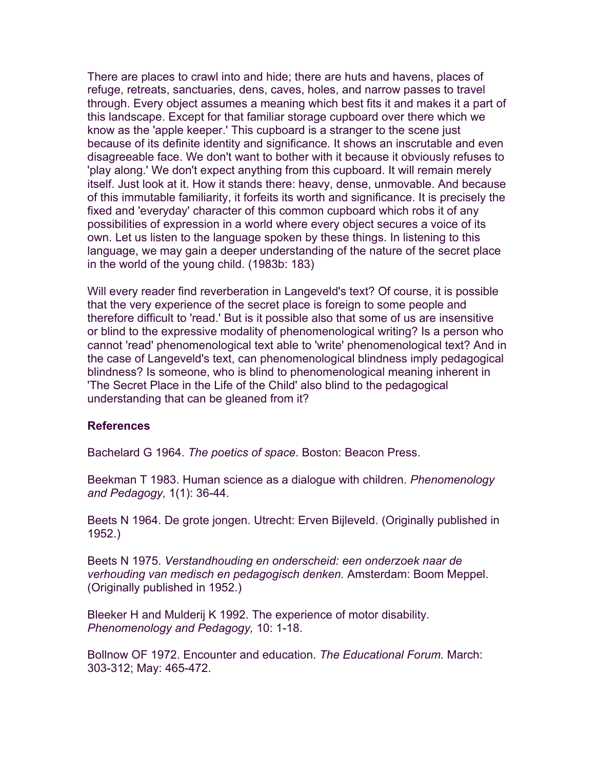There are places to crawl into and hide; there are huts and havens, places of refuge, retreats, sanctuaries, dens, caves, holes, and narrow passes to travel through. Every object assumes a meaning which best fits it and makes it a part of this landscape. Except for that familiar storage cupboard over there which we know as the 'apple keeper.' This cupboard is a stranger to the scene just because of its definite identity and significance. It shows an inscrutable and even disagreeable face. We don't want to bother with it because it obviously refuses to 'play along.' We don't expect anything from this cupboard. It will remain merely itself. Just look at it. How it stands there: heavy, dense, unmovable. And because of this immutable familiarity, it forfeits its worth and significance. It is precisely the fixed and 'everyday' character of this common cupboard which robs it of any possibilities of expression in a world where every object secures a voice of its own. Let us listen to the language spoken by these things. In listening to this language, we may gain a deeper understanding of the nature of the secret place in the world of the young child. (1983b: 183)

Will every reader find reverberation in Langeveld's text? Of course, it is possible that the very experience of the secret place is foreign to some people and therefore difficult to 'read.' But is it possible also that some of us are insensitive or blind to the expressive modality of phenomenological writing? Is a person who cannot 'read' phenomenological text able to 'write' phenomenological text? And in the case of Langeveld's text, can phenomenological blindness imply pedagogical blindness? Is someone, who is blind to phenomenological meaning inherent in 'The Secret Place in the Life of the Child' also blind to the pedagogical understanding that can be gleaned from it?

#### **References**

Bachelard G 1964. *The poetics of space*. Boston: Beacon Press.

Beekman T 1983. Human science as a dialogue with children. *Phenomenology and Pedagogy,* 1(1): 36-44.

Beets N 1964. De grote jongen. Utrecht: Erven Bijleveld. (Originally published in 1952.)

Beets N 1975. *Verstandhouding en onderscheid: een onderzoek naar de verhouding van medisch en pedagogisch denken.* Amsterdam: Boom Meppel. (Originally published in 1952.)

Bleeker H and Mulderij K 1992. The experience of motor disability. *Phenomenology and Pedagogy,* 10: 1-18.

Bollnow OF 1972. Encounter and education. *The Educational Forum.* March: 303-312; May: 465-472.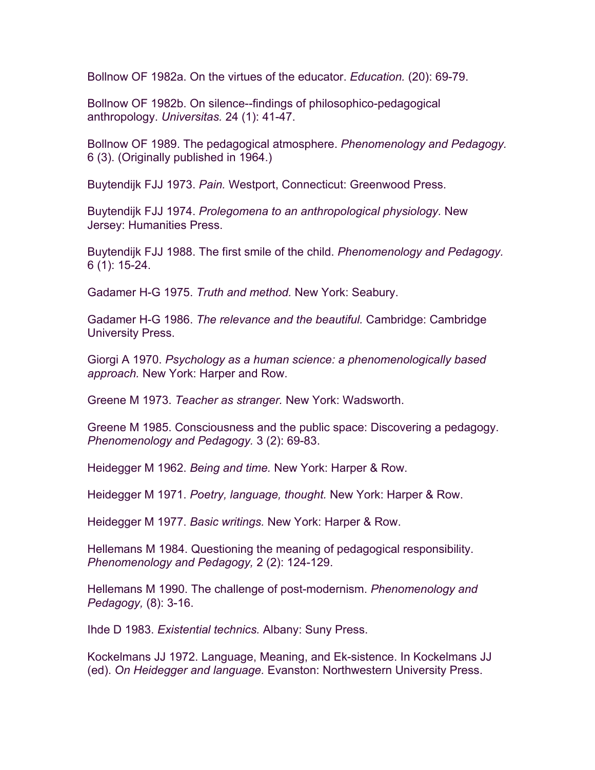Bollnow OF 1982a. On the virtues of the educator. *Education.* (20): 69-79.

Bollnow OF 1982b. On silence--findings of philosophico-pedagogical anthropology. *Universitas.* 24 (1): 41-47.

Bollnow OF 1989. The pedagogical atmosphere. *Phenomenology and Pedagogy.* 6 (3). (Originally published in 1964.)

Buytendijk FJJ 1973. *Pain.* Westport, Connecticut: Greenwood Press.

Buytendijk FJJ 1974. *Prolegomena to an anthropological physiology.* New Jersey: Humanities Press.

Buytendijk FJJ 1988. The first smile of the child. *Phenomenology and Pedagogy.*  6 (1): 15-24.

Gadamer H-G 1975. *Truth and method.* New York: Seabury.

Gadamer H-G 1986. *The relevance and the beautiful.* Cambridge: Cambridge University Press.

Giorgi A 1970. *Psychology as a human science: a phenomenologically based approach.* New York: Harper and Row.

Greene M 1973. *Teacher as stranger.* New York: Wadsworth.

Greene M 1985. Consciousness and the public space: Discovering a pedagogy. *Phenomenology and Pedagogy.* 3 (2): 69-83.

Heidegger M 1962. *Being and time.* New York: Harper & Row.

Heidegger M 1971. *Poetry, language, thought.* New York: Harper & Row.

Heidegger M 1977. *Basic writings.* New York: Harper & Row.

Hellemans M 1984. Questioning the meaning of pedagogical responsibility. *Phenomenology and Pedagogy,* 2 (2): 124-129.

Hellemans M 1990. The challenge of post-modernism. *Phenomenology and Pedagogy,* (8): 3-16.

Ihde D 1983. *Existential technics.* Albany: Suny Press.

Kockelmans JJ 1972. Language, Meaning, and Ek-sistence. In Kockelmans JJ (ed). *On Heidegger and language.* Evanston: Northwestern University Press.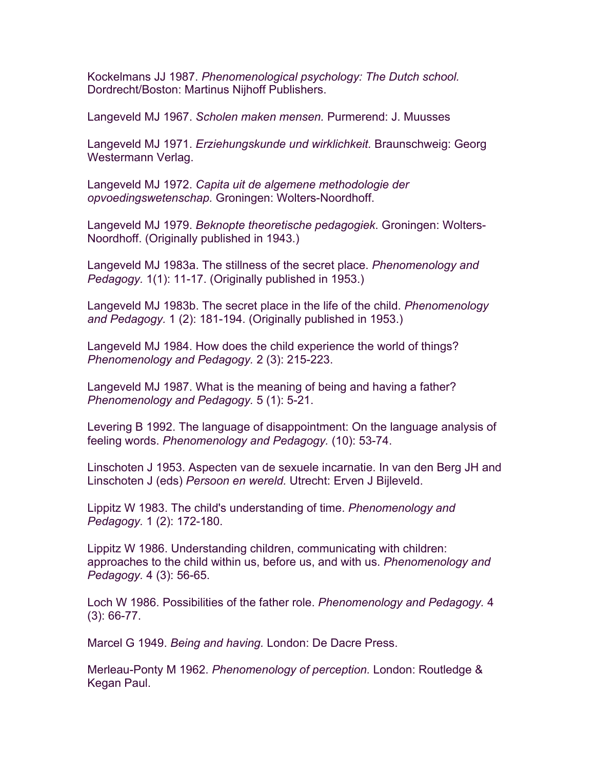Kockelmans JJ 1987. *Phenomenological psychology: The Dutch school.*  Dordrecht/Boston: Martinus Nijhoff Publishers.

Langeveld MJ 1967. *Scholen maken mensen.* Purmerend: J. Muusses

Langeveld MJ 1971. *Erziehungskunde und wirklichkeit.* Braunschweig: Georg Westermann Verlag.

Langeveld MJ 1972. *Capita uit de algemene methodologie der opvoedingswetenschap.* Groningen: Wolters-Noordhoff.

Langeveld MJ 1979. *Beknopte theoretische pedagogiek*. Groningen: Wolters-Noordhoff. (Originally published in 1943.)

Langeveld MJ 1983a. The stillness of the secret place. *Phenomenology and Pedagogy.* 1(1): 11-17. (Originally published in 1953.)

Langeveld MJ 1983b. The secret place in the life of the child. *Phenomenology and Pedagogy.* 1 (2): 181-194. (Originally published in 1953.)

Langeveld MJ 1984. How does the child experience the world of things? *Phenomenology and Pedagogy.* 2 (3): 215-223.

Langeveld MJ 1987. What is the meaning of being and having a father? *Phenomenology and Pedagogy.* 5 (1): 5-21.

Levering B 1992. The language of disappointment: On the language analysis of feeling words. *Phenomenology and Pedagogy.* (10): 53-74.

Linschoten J 1953. Aspecten van de sexuele incarnatie. In van den Berg JH and Linschoten J (eds) *Persoon en wereld.* Utrecht: Erven J Bijleveld.

Lippitz W 1983. The child's understanding of time. *Phenomenology and Pedagogy.* 1 (2): 172-180.

Lippitz W 1986. Understanding children, communicating with children: approaches to the child within us, before us, and with us. *Phenomenology and Pedagogy.* 4 (3): 56-65.

Loch W 1986. Possibilities of the father role. *Phenomenology and Pedagogy.* 4 (3): 66-77.

Marcel G 1949. *Being and having.* London: De Dacre Press.

Merleau-Ponty M 1962. *Phenomenology of perception.* London: Routledge & Kegan Paul.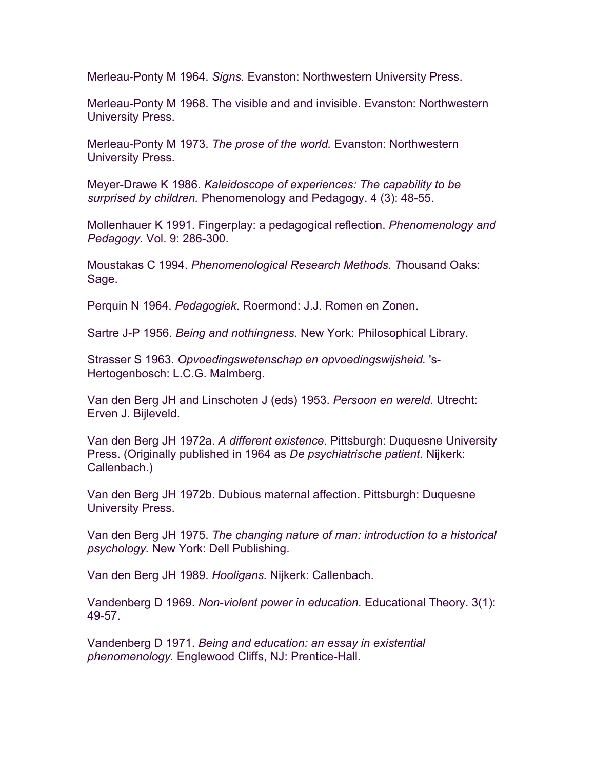Merleau-Ponty M 1964. *Signs.* Evanston: Northwestern University Press.

Merleau-Ponty M 1968. The visible and and invisible. Evanston: Northwestern University Press.

Merleau-Ponty M 1973. *The prose of the world.* Evanston: Northwestern University Press.

Meyer-Drawe K 1986. *Kaleidoscope of experiences: The capability to be surprised by children.* Phenomenology and Pedagogy. 4 (3): 48-55.

Mollenhauer K 1991. Fingerplay: a pedagogical reflection. *Phenomenology and Pedagogy.* Vol. 9: 286-300.

Moustakas C 1994. *Phenomenological Research Methods. T*housand Oaks: Sage.

Perquin N 1964. *Pedagogiek*. Roermond: J.J. Romen en Zonen.

Sartre J-P 1956. *Being and nothingness.* New York: Philosophical Library.

Strasser S 1963. *Opvoedingswetenschap en opvoedingswijsheid.* 's-Hertogenbosch: L.C.G. Malmberg.

Van den Berg JH and Linschoten J (eds) 1953. *Persoon en wereld.* Utrecht: Erven J. Bijleveld.

Van den Berg JH 1972a. *A different existence*. Pittsburgh: Duquesne University Press. (Originally published in 1964 as *De psychiatrische patient.* Nijkerk: Callenbach.)

Van den Berg JH 1972b. Dubious maternal affection. Pittsburgh: Duquesne University Press.

Van den Berg JH 1975. *The changing nature of man: introduction to a historical psychology.* New York: Dell Publishing.

Van den Berg JH 1989. *Hooligans.* Nijkerk: Callenbach.

Vandenberg D 1969. *Non-violent power in education.* Educational Theory. 3(1): 49-57.

Vandenberg D 1971. *Being and education: an essay in existential phenomenology.* Englewood Cliffs, NJ: Prentice-Hall.